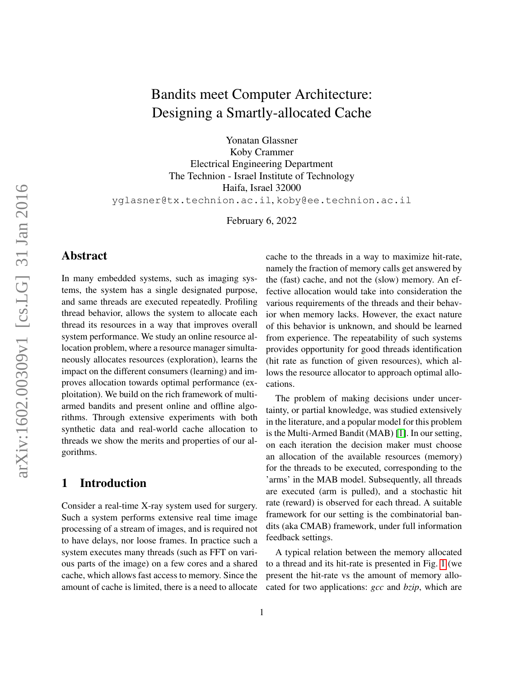# Bandits meet Computer Architecture: Designing a Smartly-allocated Cache

Yonatan Glassner Koby Crammer Electrical Engineering Department The Technion - Israel Institute of Technology Haifa, Israel 32000 yglasner@tx.technion.ac.il, koby@ee.technion.ac.il

February 6, 2022

## Abstract

In many embedded systems, such as imaging systems, the system has a single designated purpose, and same threads are executed repeatedly. Profiling thread behavior, allows the system to allocate each thread its resources in a way that improves overall system performance. We study an online resource allocation problem, where a resource manager simultaneously allocates resources (exploration), learns the impact on the different consumers (learning) and improves allocation towards optimal performance (exploitation). We build on the rich framework of multiarmed bandits and present online and offline algorithms. Through extensive experiments with both synthetic data and real-world cache allocation to threads we show the merits and properties of our algorithms.

## 1 Introduction

Consider a real-time X-ray system used for surgery. Such a system performs extensive real time image processing of a stream of images, and is required not to have delays, nor loose frames. In practice such a system executes many threads (such as FFT on various parts of the image) on a few cores and a shared cache, which allows fast access to memory. Since the amount of cache is limited, there is a need to allocate cache to the threads in a way to maximize hit-rate, namely the fraction of memory calls get answered by the (fast) cache, and not the (slow) memory. An effective allocation would take into consideration the various requirements of the threads and their behavior when memory lacks. However, the exact nature of this behavior is unknown, and should be learned from experience. The repeatability of such systems provides opportunity for good threads identification (hit rate as function of given resources), which allows the resource allocator to approach optimal allocations.

The problem of making decisions under uncertainty, or partial knowledge, was studied extensively in the literature, and a popular model for this problem is the Multi-Armed Bandit (MAB) [\[1\]](#page-7-0). In our setting, on each iteration the decision maker must choose an allocation of the available resources (memory) for the threads to be executed, corresponding to the 'arms' in the MAB model. Subsequently, all threads are executed (arm is pulled), and a stochastic hit rate (reward) is observed for each thread. A suitable framework for our setting is the combinatorial bandits (aka CMAB) framework, under full information feedback settings.

A typical relation between the memory allocated to a thread and its hit-rate is presented in Fig. [1](#page-3-0) (we present the hit-rate vs the amount of memory allocated for two applications: *gcc* and *bzip*, which are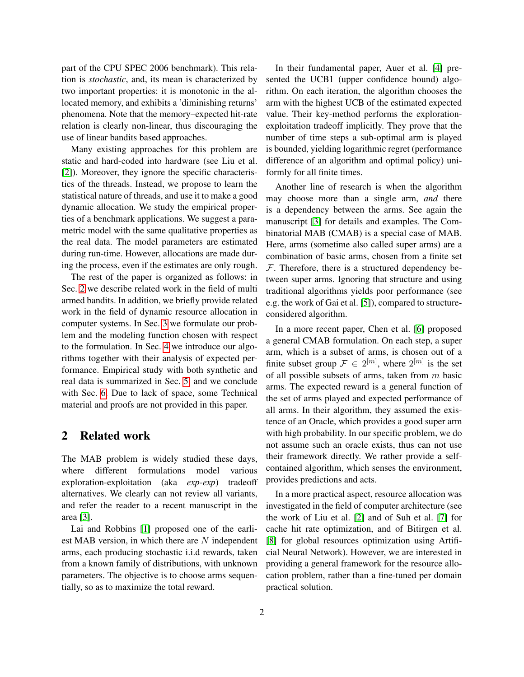part of the CPU SPEC 2006 benchmark). This relation is *stochastic*, and, its mean is characterized by two important properties: it is monotonic in the allocated memory, and exhibits a 'diminishing returns' phenomena. Note that the memory–expected hit-rate relation is clearly non-linear, thus discouraging the use of linear bandits based approaches.

Many existing approaches for this problem are static and hard-coded into hardware (see Liu et al. [\[2\]](#page-7-1)). Moreover, they ignore the specific characteristics of the threads. Instead, we propose to learn the statistical nature of threads, and use it to make a good dynamic allocation. We study the empirical properties of a benchmark applications. We suggest a parametric model with the same qualitative properties as the real data. The model parameters are estimated during run-time. However, allocations are made during the process, even if the estimates are only rough.

The rest of the paper is organized as follows: in Sec. [2](#page-1-0) we describe related work in the field of multi armed bandits. In addition, we briefly provide related work in the field of dynamic resource allocation in computer systems. In Sec. [3](#page-2-0) we formulate our problem and the modeling function chosen with respect to the formulation. In Sec. [4](#page-3-1) we introduce our algorithms together with their analysis of expected performance. Empirical study with both synthetic and real data is summarized in Sec. [5,](#page-5-0) and we conclude with Sec. [6.](#page-6-0) Due to lack of space, some Technical material and proofs are not provided in this paper.

#### <span id="page-1-0"></span>2 Related work

The MAB problem is widely studied these days, where different formulations model various exploration-exploitation (aka *exp-exp*) tradeoff alternatives. We clearly can not review all variants, and refer the reader to a recent manuscript in the area [\[3\]](#page-7-2).

Lai and Robbins [\[1\]](#page-7-0) proposed one of the earliest MAB version, in which there are  $N$  independent arms, each producing stochastic i.i.d rewards, taken from a known family of distributions, with unknown parameters. The objective is to choose arms sequentially, so as to maximize the total reward.

In their fundamental paper, Auer et al. [\[4\]](#page-7-3) presented the UCB1 (upper confidence bound) algorithm. On each iteration, the algorithm chooses the arm with the highest UCB of the estimated expected value. Their key-method performs the explorationexploitation tradeoff implicitly. They prove that the number of time steps a sub-optimal arm is played is bounded, yielding logarithmic regret (performance difference of an algorithm and optimal policy) uniformly for all finite times.

Another line of research is when the algorithm may choose more than a single arm, *and* there is a dependency between the arms. See again the manuscript [\[3\]](#page-7-2) for details and examples. The Combinatorial MAB (CMAB) is a special case of MAB. Here, arms (sometime also called super arms) are a combination of basic arms, chosen from a finite set  $F$ . Therefore, there is a structured dependency between super arms. Ignoring that structure and using traditional algorithms yields poor performance (see e.g. the work of Gai et al. [\[5\]](#page-7-4)), compared to structureconsidered algorithm.

In a more recent paper, Chen et al. [\[6\]](#page-7-5) proposed a general CMAB formulation. On each step, a super arm, which is a subset of arms, is chosen out of a finite subset group  $\mathcal{F} \in 2^{[m]}$ , where  $2^{[m]}$  is the set of all possible subsets of arms, taken from  $m$  basic arms. The expected reward is a general function of the set of arms played and expected performance of all arms. In their algorithm, they assumed the existence of an Oracle, which provides a good super arm with high probability. In our specific problem, we do not assume such an oracle exists, thus can not use their framework directly. We rather provide a selfcontained algorithm, which senses the environment, provides predictions and acts.

In a more practical aspect, resource allocation was investigated in the field of computer architecture (see the work of Liu et al. [\[2\]](#page-7-1) and of Suh et al. [\[7\]](#page-7-6) for cache hit rate optimization, and of Bitirgen et al. [\[8\]](#page-7-7) for global resources optimization using Artificial Neural Network). However, we are interested in providing a general framework for the resource allocation problem, rather than a fine-tuned per domain practical solution.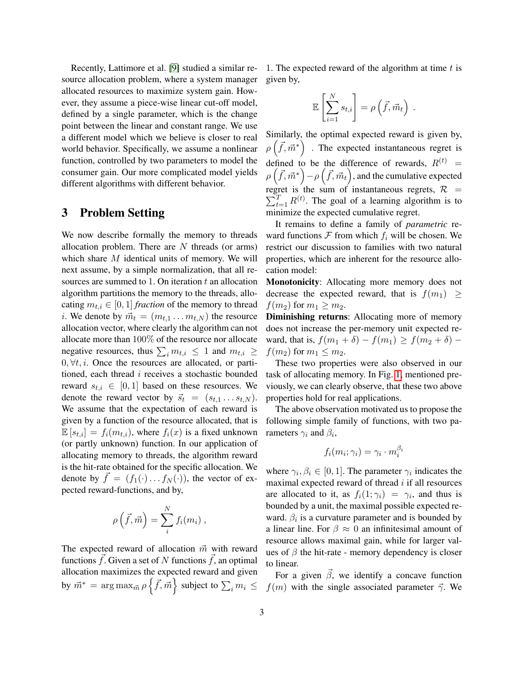Recently, Lattimore et al. [\[9\]](#page-7-8) studied a similar resource allocation problem, where a system manager allocated resources to maximize system gain. However, they assume a piece-wise linear cut-off model, defined by a single parameter, which is the change point between the linear and constant range. We use a different model which we believe is closer to real world behavior. Specifically, we assume a nonlinear function, controlled by two parameters to model the consumer gain. Our more complicated model yields different algorithms with different behavior.

## <span id="page-2-0"></span>3 Problem Setting

We now describe formally the memory to threads allocation problem. There are  $N$  threads (or arms) which share  $M$  identical units of memory. We will next assume, by a simple normalization, that all resources are summed to 1. On iteration  $t$  an allocation algorithm partitions the memory to the threads, allocating  $m_{t,i} \in [0, 1]$  *fraction* of the memory to thread *i*. We denote by  $\vec{m}_t = (m_{t,1} \dots m_{t,N})$  the resource allocation vector, where clearly the algorithm can not allocate more than 100% of the resource nor allocate negative resources, thus  $\sum_i m_{t,i} \leq 1$  and  $m_{t,i} \geq$  $0, \forall t, i$ . Once the resources are allocated, or partitioned, each thread  $i$  receives a stochastic bounded reward  $s_{t,i} \in [0,1]$  based on these resources. We denote the reward vector by  $\vec{s}_t = (s_{t,1} \dots s_{t,N}).$ We assume that the expectation of each reward is given by a function of the resource allocated, that is  $\mathbb{E}[s_{t,i}] = f_i(m_{t,i}),$  where  $f_i(x)$  is a fixed unknown (or partly unknown) function. In our application of allocating memory to threads, the algorithm reward is the hit-rate obtained for the specific allocation. We denote by  $\vec{f} = (f_1(\cdot) \dots f_N(\cdot))$ , the vector of expected reward-functions, and by,

$$
\rho\left(\vec{f},\vec{m}\right) = \sum_{i}^{N} f_i(m_i) ,
$$

The expected reward of allocation  $\vec{m}$  with reward functions  $\vec{f}$ . Given a set of N functions  $\vec{f}$ , an optimal allocation maximizes the expected reward and given by  $\vec{m}^* = \argmax_{\vec{m}} \rho \left\{ \vec{f}, \vec{m} \right\}$  subject to  $\sum_i m_i \leq$ 

1. The expected reward of the algorithm at time  $t$  is given by,

$$
\mathbb{E}\left[\sum_{i=1}^N s_{t,i}\right] = \rho\left(\vec{f}, \vec{m}_t\right) .
$$

Similarly, the optimal expected reward is given by,  $\rho\left(\vec{f}, \vec{m}^*\right)$  . The expected instantaneous regret is defined to be the difference of rewards,  $R^{(t)}$  =  $\rho\left(\vec{f},\vec{m}^*\right)-\rho\left(\vec{f},\vec{m}_t\right)$ , and the cumulative expected regret is the sum of instantaneous regrets,  $\mathcal{R}$  =  $\sum_{t=1}^{T} R^{(t)}$ . The goal of a learning algorithm is to minimize the expected cumulative regret.

It remains to define a family of *parametric* reward functions  $\mathcal F$  from which  $f_i$  will be chosen. We restrict our discussion to families with two natural properties, which are inherent for the resource allocation model:

Monotonicity: Allocating more memory does not decrease the expected reward, that is  $f(m_1) \geq$  $f(m_2)$  for  $m_1 \geq m_2$ .

Diminishing returns: Allocating more of memory does not increase the per-memory unit expected reward, that is,  $f(m_1 + \delta) - f(m_1) \ge f(m_2 + \delta)$  –  $f(m_2)$  for  $m_1 \leq m_2$ .

These two properties were also observed in our task of allocating memory. In Fig. [1,](#page-3-0) mentioned previously, we can clearly observe, that these two above properties hold for real applications.

The above observation motivated us to propose the following simple family of functions, with two parameters  $\gamma_i$  and  $\beta_i$ ,

$$
f_i(m_i; \gamma_i) = \gamma_i \cdot m_i^{\beta_i}
$$

where  $\gamma_i, \beta_i \in [0, 1]$ . The parameter  $\gamma_i$  indicates the maximal expected reward of thread  $i$  if all resources are allocated to it, as  $f_i(1; \gamma_i) = \gamma_i$ , and thus is bounded by a unit, the maximal possible expected reward.  $\beta_i$  is a curvature parameter and is bounded by a linear line. For  $\beta \approx 0$  an infinitesimal amount of resource allows maximal gain, while for larger values of  $\beta$  the hit-rate - memory dependency is closer to linear.

For a given  $\beta$ , we identify a concave function  $f(m)$  with the single associated parameter  $\vec{\gamma}$ . We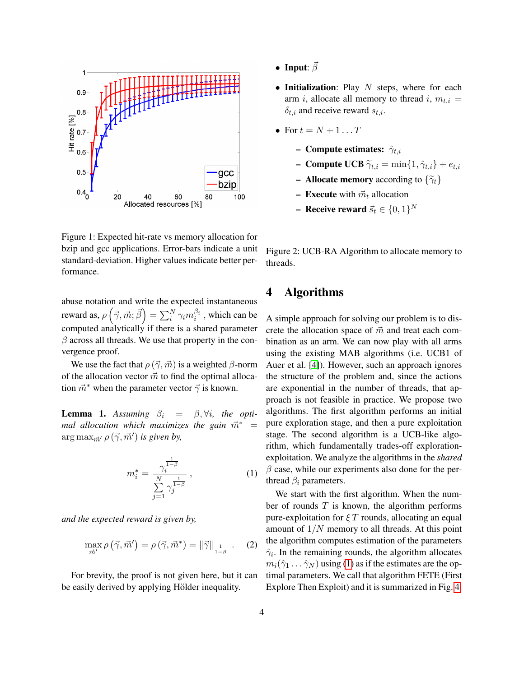

<span id="page-3-0"></span>Figure 1: Expected hit-rate vs memory allocation for bzip and gcc applications. Error-bars indicate a unit standard-deviation. Higher values indicate better performance.

abuse notation and write the expected instantaneous reward as,  $\rho\left(\vec{\gamma},\vec{m};\vec{\beta}\right)=\sum_i^N\gamma_im_i^{\beta_i}$  , which can be computed analytically if there is a shared parameter  $\beta$  across all threads. We use that property in the convergence proof.

We use the fact that  $\rho(\vec{\gamma}, \vec{m})$  is a weighted  $\beta$ -norm of the allocation vector  $\vec{m}$  to find the optimal allocation  $\vec{m}^*$  when the parameter vector  $\vec{\gamma}$  is known.

**Lemma 1.** Assuming  $\beta_i = \beta, \forall i$ , the opti*mal allocation which maximizes the gain*  $\vec{m}^*$  =  $\arg \max_{\vec{m}'} \rho(\vec{\gamma}, \vec{m}')$  *is given by,* 

$$
m_i^* = \frac{\gamma_i^{\frac{1}{1-\beta}}}{\sum_{j=1}^N \gamma_j^{\frac{1}{1-\beta}}},\tag{1}
$$

*and the expected reward is given by,*

$$
\max_{\vec{m}'} \rho\left(\vec{\gamma}, \vec{m}'\right) = \rho\left(\vec{\gamma}, \vec{m}^*\right) = \|\vec{\gamma}\|_{\frac{1}{1-\beta}} . \quad (2)
$$

For brevity, the proof is not given here, but it can be easily derived by applying Hölder inequality.

- Input:  $\vec{\beta}$
- Initialization: Play  $N$  steps, where for each arm i, allocate all memory to thread i,  $m_{t,i} =$  $\delta_{t,i}$  and receive reward  $s_{t,i}$ .
- For  $t = N + 1 \dots T$ 
	- Compute estimates:  $\hat{\gamma}_{t,i}$
	- **Compute UCB**  $\tilde{\gamma}_{t,i} = \min\{1, \hat{\gamma}_{t,i}\} + e_{t,i}$
	- **Allocate memory** according to  $\{\widetilde{\gamma}_t\}$
	- Execute with  $\vec{m}_t$  allocation
	- Receive reward  $\vec{s}_t \in \{0,1\}^N$

<span id="page-3-3"></span>Figure 2: UCB-RA Algorithm to allocate memory to threads.

### <span id="page-3-1"></span>4 Algorithms

A simple approach for solving our problem is to discrete the allocation space of  $\vec{m}$  and treat each combination as an arm. We can now play with all arms using the existing MAB algorithms (i.e. UCB1 of Auer et al. [\[4\]](#page-7-3)). However, such an approach ignores the structure of the problem and, since the actions are exponential in the number of threads, that approach is not feasible in practice. We propose two algorithms. The first algorithm performs an initial pure exploration stage, and then a pure exploitation stage. The second algorithm is a UCB-like algorithm, which fundamentally trades-off explorationexploitation. We analyze the algorithms in the *shared*  $\beta$  case, while our experiments also done for the perthread  $\beta_i$  parameters.

<span id="page-3-2"></span>We start with the first algorithm. When the number of rounds  $T$  is known, the algorithm performs pure-exploitation for  $\xi T$  rounds, allocating an equal amount of  $1/N$  memory to all threads. At this point the algorithm computes estimation of the parameters  $\hat{\gamma}_i$ . In the remaining rounds, the algorithm allocates  $m_i(\hat{\gamma}_1 \dots \hat{\gamma}_N)$  using [\(1\)](#page-3-2) as if the estimates are the optimal parameters. We call that algorithm FETE (First Explore Then Exploit) and it is summarized in Fig. [4.](#page-4-0)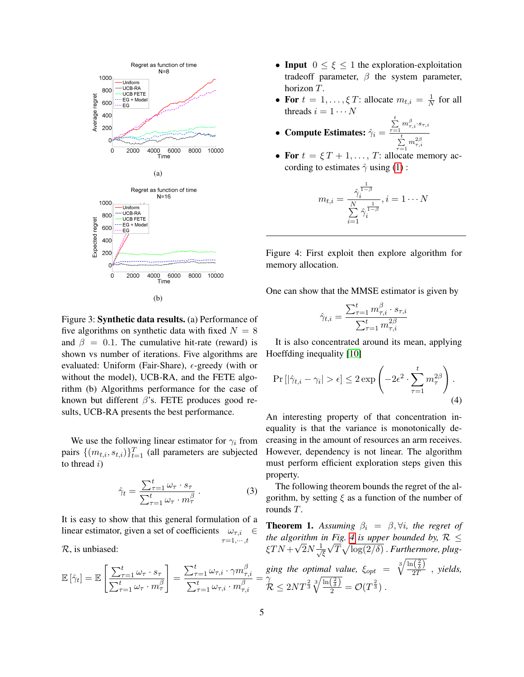<span id="page-4-3"></span>

<span id="page-4-2"></span>Figure 3: Synthetic data results. (a) Performance of five algorithms on synthetic data with fixed  $N = 8$ and  $\beta = 0.1$ . The cumulative hit-rate (reward) is shown vs number of iterations. Five algorithms are evaluated: Uniform (Fair-Share),  $\epsilon$ -greedy (with or without the model), UCB-RA, and the FETE algorithm (b) Algorithms performance for the case of known but different  $\beta$ 's. FETE produces good results, UCB-RA presents the best performance.

We use the following linear estimator for  $\gamma_i$  from pairs  $\{(m_{t,i}, s_{t,i})\}_{t=1}^T$  (all parameters are subjected to thread  $i)$ 

$$
\hat{\gamma}_t = \frac{\sum_{\tau=1}^t \omega_\tau \cdot s_\tau}{\sum_{\tau=1}^t \omega_\tau \cdot m_\tau^\beta} \,. \tag{3}
$$

 $\sum_{\tau=1}^t \omega_{\tau,i} \cdot \gamma m_{\tau}^{\beta}$ 

 $\sum_{\tau=1}^t \omega_{\tau,i} \cdot m_\tau^\beta$ 

It is easy to show that this general formulation of a linear estimator, given a set of coefficients  $\omega_{\tau,i}$  $\tau=1,\cdots,t$ ∈

> 1 =

R, is unbiased:

 $\mathbb{E}\left[\hat{\gamma}_t\right] = \mathbb{E}\left[\frac{\sum_{\tau=1}^t \omega_\tau \cdot s_\tau}{\sum_{\tau=1}^t \omega_\tau \cdot s_\tau}\right]$ 

 $\sum_{\tau=1}^t \omega_\tau \cdot m_\tau^\beta$ 

- Input  $0 \leq \xi \leq 1$  the exploration-exploitation tradeoff parameter,  $\beta$  the system parameter, horizon T.
- For  $t = 1, ..., \xi T$ : allocate  $m_{t,i} = \frac{1}{N}$  $\frac{1}{N}$  for all threads  $i = 1 \cdots N$
- Compute Estimates:  $\hat{\gamma}_i =$  $\sum\limits_{\tau=1}^tm_{\tau,i}^{\beta}\!\cdot\! s_{\tau,i}$  $\sum\limits_{i=1}^tm_{\tau,i}^{2\beta}$
- $\tau=1$ • For  $t = \xi T + 1, \ldots, T$ : allocate memory according to estimates  $\hat{\gamma}$  using [\(1\)](#page-3-2) :

<span id="page-4-0"></span>
$$
m_{t,i} = \frac{\hat{\gamma}_i^{\frac{1}{1-\beta}}}{\sum\limits_{i=1}^N \hat{\gamma}_i^{\frac{1}{1-\beta}}}, i = 1 \cdots N
$$

Figure 4: First exploit then explore algorithm for memory allocation.

One can show that the MMSE estimator is given by

<span id="page-4-1"></span>
$$
\hat{\gamma}_{t,i} = \frac{\sum_{\tau=1}^{t} m_{\tau,i}^{\beta} \cdot s_{\tau,i}}{\sum_{\tau=1}^{t} m_{\tau,i}^{2\beta}}
$$

It is also concentrated around its mean, applying Hoeffding inequality [\[10\]](#page-7-9)

$$
\Pr\left[|\hat{\gamma}_{t,i} - \gamma_i| > \epsilon\right] \le 2 \exp\left(-2\epsilon^2 \cdot \sum_{\tau=1}^t m_\tau^{2\beta}\right). \tag{4}
$$

An interesting property of that concentration inequality is that the variance is monotonically decreasing in the amount of resources an arm receives. However, dependency is not linear. The algorithm must perform efficient exploration steps given this property.

The following theorem bounds the regret of the algorithm, by setting  $\xi$  as a function of the number of rounds T.

 $=$   $\bar{\gamma}$ **Theorem 1.** Assuming  $\beta_i = \beta, \forall i$ , the regret of *the algorithm in Fig. [4](#page-4-0) is upper bounded by,*  $\mathcal{R} \leq$  $\xi TN +$ √  $\overline{2}N\frac{1}{7}$ ξ  $^{\prime}$  \!  $\overline{T}\sqrt{\log(2/\delta)}$  . Furthermore, plugging the optimal value,  $\xi_{opt} = \sqrt[3]{\frac{\ln(\frac{2}{\delta})}{2T}}$  $rac{1}{2T}$ , yields,  $\mathcal{\overline{R}} \leq 2NT^{\frac{2}{3}}\sqrt[3]{\frac{\ln(\frac{2}{\delta})}{2}} = \mathcal{O}(T^{\frac{2}{3}}) \ .$ 

 $_{\tau,i}$ 

 $\tau, i$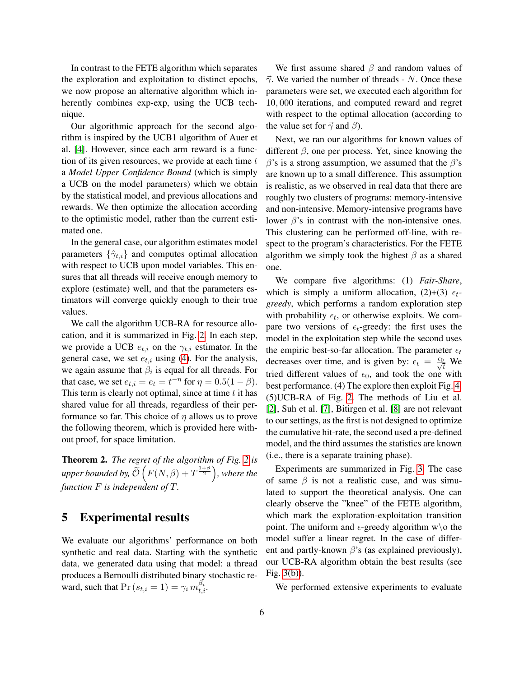In contrast to the FETE algorithm which separates the exploration and exploitation to distinct epochs, we now propose an alternative algorithm which inherently combines exp-exp, using the UCB technique.

Our algorithmic approach for the second algorithm is inspired by the UCB1 algorithm of Auer et al. [\[4\]](#page-7-3). However, since each arm reward is a function of its given resources, we provide at each time  $t$ a *Model Upper Confidence Bound* (which is simply a UCB on the model parameters) which we obtain by the statistical model, and previous allocations and rewards. We then optimize the allocation according to the optimistic model, rather than the current estimated one.

In the general case, our algorithm estimates model parameters  $\{\hat{\gamma}_{t,i}\}$  and computes optimal allocation with respect to UCB upon model variables. This ensures that all threads will receive enough memory to explore (estimate) well, and that the parameters estimators will converge quickly enough to their true values.

We call the algorithm UCB-RA for resource allocation, and it is summarized in Fig. [2.](#page-3-3) In each step, we provide a UCB  $e_{t,i}$  on the  $\gamma_{t,i}$  estimator. In the general case, we set  $e_{t,i}$  using [\(4\)](#page-4-1). For the analysis, we again assume that  $\beta_i$  is equal for all threads. For that case, we set  $e_{t,i} = e_t = t^{-\eta}$  for  $\eta = 0.5(1 - \beta)$ . This term is clearly not optimal, since at time  $t$  it has shared value for all threads, regardless of their performance so far. This choice of  $\eta$  allows us to prove the following theorem, which is provided here without proof, for space limitation.

Theorem 2. *The regret of the algorithm of Fig. [2](#page-3-3) is* upper bounded by,  $\widetilde{\mathcal{O}}\left(F(N,\beta)+T^{\frac{1+\beta}{2}}\right)$ , where the *function* F *is independent of* T*.*

### <span id="page-5-0"></span>5 Experimental results

We evaluate our algorithms' performance on both synthetic and real data. Starting with the synthetic data, we generated data using that model: a thread produces a Bernoulli distributed binary stochastic reward, such that  $Pr(s_{t,i} = 1) = \gamma_i m_{t,i}^{\beta_i}$ .

We first assume shared  $\beta$  and random values of  $\vec{\gamma}$ . We varied the number of threads - N. Once these parameters were set, we executed each algorithm for 10, 000 iterations, and computed reward and regret with respect to the optimal allocation (according to the value set for  $\vec{\gamma}$  and  $\beta$ ).

Next, we ran our algorithms for known values of different  $\beta$ , one per process. Yet, since knowing the  $\beta$ 's is a strong assumption, we assumed that the  $\beta$ 's are known up to a small difference. This assumption is realistic, as we observed in real data that there are roughly two clusters of programs: memory-intensive and non-intensive. Memory-intensive programs have lower  $\beta$ 's in contrast with the non-intensive ones. This clustering can be performed off-line, with respect to the program's characteristics. For the FETE algorithm we simply took the highest  $\beta$  as a shared one.

We compare five algorithms: (1) *Fair-Share*, which is simply a uniform allocation,  $(2)+(3) \epsilon_t$ *greedy*, which performs a random exploration step with probability  $\epsilon_t$ , or otherwise exploits. We compare two versions of  $\epsilon_t$ -greedy: the first uses the model in the exploitation step while the second uses the empiric best-so-far allocation. The parameter  $\epsilon_t$ decreases over time, and is given by:  $\epsilon_t = \frac{\epsilon_0}{\sqrt{t}}$  We tried different values of  $\epsilon_0$ , and took the one with best performance. (4) The explore then exploit Fig. [4.](#page-4-0) (5)UCB-RA of Fig. [2.](#page-3-3) The methods of Liu et al. [\[2\]](#page-7-1), Suh et al. [\[7\]](#page-7-6), Bitirgen et al. [\[8\]](#page-7-7) are not relevant to our settings, as the first is not designed to optimize the cumulative hit-rate, the second used a pre-defined model, and the third assumes the statistics are known (i.e., there is a separate training phase).

Experiments are summarized in Fig. [3.](#page-4-2) The case of same  $\beta$  is not a realistic case, and was simulated to support the theoretical analysis. One can clearly observe the "knee" of the FETE algorithm, which mark the exploration-exploitation transition point. The uniform and  $\epsilon$ -greedy algorithm w\o the model suffer a linear regret. In the case of different and partly-known  $\beta$ 's (as explained previously), our UCB-RA algorithm obtain the best results (see Fig. [3\(b\)\)](#page-4-3).

We performed extensive experiments to evaluate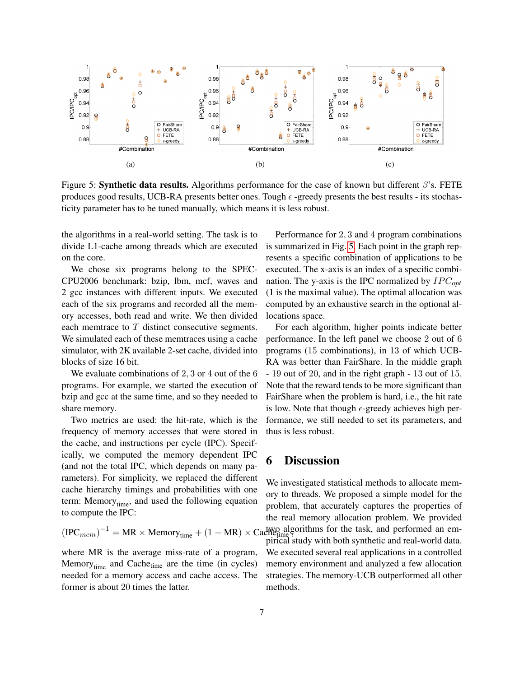

Figure 5: **Synthetic data results.** Algorithms performance for the case of known but different  $\beta$ 's. FETE produces good results, UCB-RA presents better ones. Tough  $\epsilon$  -greedy presents the best results - its stochasticity parameter has to be tuned manually, which means it is less robust.

the algorithms in a real-world setting. The task is to divide L1-cache among threads which are executed is summarized in Fig. [5.](#page-5-0) Each point in the graph repon the core.

We chose six programs belong to the SPEC-CPU2006 benchmark: bzip, lbm, mcf, waves and 2 gcc instances with different inputs. We executed each of the six programs and recorded all the memory accesses, both read and write. We then divided each memtrace to T distinct consecutive segments. We simulated each of these memtraces using a cache simulator, with 2K available 2-set cache, divided into blocks of size 16 bit.

We evaluate combinations of 2, 3 or 4 out of the 6 programs. For example, we started the execution of bzip and gcc at the same time, and so they needed to share memory.

Two metrics are used: the hit-rate, which is the frequency of memory accesses that were stored in the cache, and instructions per cycle (IPC). Specifically, we computed the memory dependent IPC (and not the total IPC, which depends on many parameters). For simplicity, we replaced the different cache hierarchy timings and probabilities with one term: Memory<sub>time</sub>, and used the following equation to compute the IPC:

$$
(\text{IPC}_{mem})^{-1} = \text{MR} \times \text{Memory}_{time} + (1 - \text{MR}) \times \text{C}
$$

where MR is the average miss-rate of a program, Memory $_{time}$  and Cache $_{time}$  are the time (in cycles) needed for a memory access and cache access. The former is about 20 times the latter.

Performance for 2, 3 and 4 program combinations resents a specific combination of applications to be executed. The x-axis is an index of a specific combination. The y-axis is the IPC normalized by  $IPC_{opt}$ (1 is the maximal value). The optimal allocation was computed by an exhaustive search in the optional allocations space.

For each algorithm, higher points indicate better performance. In the left panel we choose 2 out of 6 programs (15 combinations), in 13 of which UCB-RA was better than FairShare. In the middle graph - 19 out of 20, and in the right graph - 13 out of 15. Note that the reward tends to be more significant than FairShare when the problem is hard, i.e., the hit rate is low. Note that though  $\epsilon$ -greedy achieves high performance, we still needed to set its parameters, and thus is less robust.

### <span id="page-6-0"></span>6 Discussion

 $t^{-1} = MR \times Memory_{time} + (1 - MR) \times CadW_{time}^{\text{loop}}$  algorithms for the task, and performed an em-We investigated statistical methods to allocate memory to threads. We proposed a simple model for the problem, that accurately captures the properties of the real memory allocation problem. We provided pirical study with both synthetic and real-world data. We executed several real applications in a controlled memory environment and analyzed a few allocation strategies. The memory-UCB outperformed all other methods.